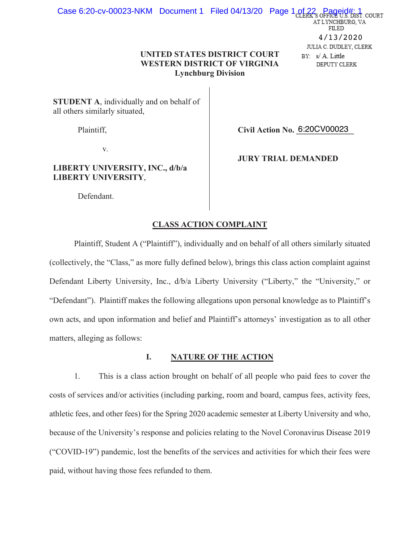# **UNITED STATES DISTRICT COURT WESTERN DISTRICT OF VIRGINIA Lynchburg Division**

STUDENT A, individually and on behalf of all others similarly situated,

Plaintiff,

Civil Action No. 6:20CV00023

V.

# LIBERTY UNIVERSITY, INC., d/b/a **LIBERTY UNIVERSITY,**

**JURY TRIAL DEMANDED** 

Defendant.

# **CLASS ACTION COMPLAINT**

Plaintiff, Student A ("Plaintiff"), individually and on behalf of all others similarly situated (collectively, the "Class," as more fully defined below), brings this class action complaint against Defendant Liberty University, Inc., d/b/a Liberty University ("Liberty," the "University," or "Defendant"). Plaintiff makes the following allegations upon personal knowledge as to Plaintiff's own acts, and upon information and belief and Plaintiff's attorneys' investigation as to all other matters, alleging as follows:

#### I. **NATURE OF THE ACTION**

1. This is a class action brought on behalf of all people who paid fees to cover the costs of services and/or activities (including parking, room and board, campus fees, activity fees, athletic fees, and other fees) for the Spring 2020 academic semester at Liberty University and who, because of the University's response and policies relating to the Novel Coronavirus Disease 2019 ("COVID-19") pandemic, lost the benefits of the services and activities for which their fees were paid, without having those fees refunded to them.

DIST. COURT AT LYNCHBURG, VA FILED  $4/13/2020$ JULIA C. DUDLEY, CLERK BY: s/A. Little

Case 6:20-cv-00023-NKM Document 1 Filed 04/13/20 Page 1 of 22 Pa

DEPUTY CLERK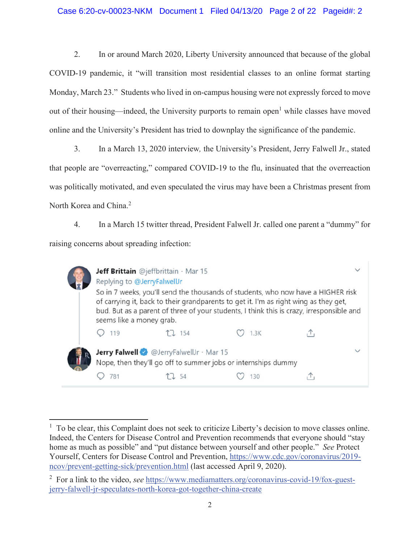# Case 6:20-cv-00023-NKM Document 1 Filed 04/13/20 Page 2 of 22 Pageid#: 2

 $2.$ In or around March 2020, Liberty University announced that because of the global COVID-19 pandemic, it "will transition most residential classes to an online format starting Monday, March 23." Students who lived in on-campus housing were not expressly forced to move out of their housing—indeed, the University purports to remain open<sup>1</sup> while classes have moved online and the University's President has tried to downplay the significance of the pandemic.

 $3.$ In a March 13, 2020 interview, the University's President, Jerry Falwell Jr., stated that people are "overreacting," compared COVID-19 to the flu, insinuated that the overreaction was politically motivated, and even speculated the virus may have been a Christmas present from North Korea and China.<sup>2</sup>

 $\overline{4}$ . In a March 15 twitter thread, President Falwell Jr. called one parent a "dummy" for raising concerns about spreading infection:

| Jeff Brittain @jeffbrittain · Mar 15<br>Replying to @JerryFalwellJr<br>So in 7 weeks, you'll send the thousands of students, who now have a HIGHER risk<br>of carrying it, back to their grandparents to get it. I'm as right wing as they get,<br>bud. But as a parent of three of your students, I think this is crazy, irresponsible and<br>seems like a money grab. |        |      |  |
|-------------------------------------------------------------------------------------------------------------------------------------------------------------------------------------------------------------------------------------------------------------------------------------------------------------------------------------------------------------------------|--------|------|--|
| 119                                                                                                                                                                                                                                                                                                                                                                     | LJ 154 | 1.3K |  |
| Jerry Falwell @JerryFalwellJr · Mar 15<br>Nope, then they'll go off to summer jobs or internships dummy                                                                                                                                                                                                                                                                 |        |      |  |
|                                                                                                                                                                                                                                                                                                                                                                         |        |      |  |

<sup>&</sup>lt;sup>1</sup> To be clear, this Complaint does not seek to criticize Liberty's decision to move classes online. Indeed, the Centers for Disease Control and Prevention recommends that everyone should "stay home as much as possible" and "put distance between yourself and other people." See Protect Yourself, Centers for Disease Control and Prevention, https://www.cdc.gov/coronavirus/2019ncov/prevent-getting-sick/prevention.html (last accessed April 9, 2020).

 $2\degree$  For a link to the video, see https://www.mediamatters.org/coronavirus-covid-19/fox-guestjerry-falwell-jr-speculates-north-korea-got-together-china-create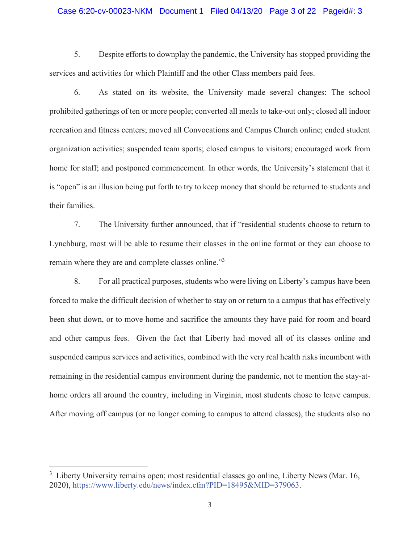### Case 6:20-cv-00023-NKM Document 1 Filed 04/13/20 Page 3 of 22 Pageid#: 3

5. Despite efforts to downplay the pandemic, the University has stopped providing the services and activities for which Plaintiff and the other Class members paid fees.

6. As stated on its website, the University made several changes: The school prohibited gatherings of ten or more people; converted all meals to take-out only; closed all indoor recreation and fitness centers; moved all Convocations and Campus Church online; ended student organization activities; suspended team sports; closed campus to visitors; encouraged work from home for staff; and postponed commencement. In other words, the University's statement that it is "open" is an illusion being put forth to try to keep money that should be returned to students and their families.

 $7<sub>1</sub>$ The University further announced, that if "residential students choose to return to Lynchburg, most will be able to resume their classes in the online format or they can choose to remain where they are and complete classes online."<sup>3</sup>

8. For all practical purposes, students who were living on Liberty's campus have been forced to make the difficult decision of whether to stay on or return to a campus that has effectively been shut down, or to move home and sacrifice the amounts they have paid for room and board and other campus fees. Given the fact that Liberty had moved all of its classes online and suspended campus services and activities, combined with the very real health risks incumbent with remaining in the residential campus environment during the pandemic, not to mention the stay-athome orders all around the country, including in Virginia, most students chose to leave campus. After moving off campus (or no longer coming to campus to attend classes), the students also no

<sup>&</sup>lt;sup>3</sup> Liberty University remains open; most residential classes go online, Liberty News (Mar. 16, 2020), https://www.liberty.edu/news/index.cfm?PID=18495&MID=379063.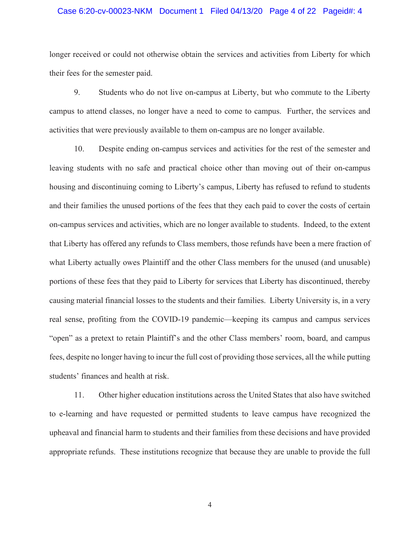### Case 6:20-cv-00023-NKM Document 1 Filed 04/13/20 Page 4 of 22 Pageid#: 4

longer received or could not otherwise obtain the services and activities from Liberty for which their fees for the semester paid.

9. Students who do not live on-campus at Liberty, but who commute to the Liberty campus to attend classes, no longer have a need to come to campus. Further, the services and activities that were previously available to them on-campus are no longer available.

10. Despite ending on-campus services and activities for the rest of the semester and leaving students with no safe and practical choice other than moving out of their on-campus housing and discontinuing coming to Liberty's campus, Liberty has refused to refund to students and their families the unused portions of the fees that they each paid to cover the costs of certain on-campus services and activities, which are no longer available to students. Indeed, to the extent that Liberty has offered any refunds to Class members, those refunds have been a mere fraction of what Liberty actually owes Plaintiff and the other Class members for the unused (and unusable) portions of these fees that they paid to Liberty for services that Liberty has discontinued, thereby causing material financial losses to the students and their families. Liberty University is, in a very real sense, profiting from the COVID-19 pandemic—keeping its campus and campus services "open" as a pretext to retain Plaintiff's and the other Class members' room, board, and campus fees, despite no longer having to incur the full cost of providing those services, all the while putting students' finances and health at risk.

11. Other higher education institutions across the United States that also have switched to e-learning and have requested or permitted students to leave campus have recognized the upheaval and financial harm to students and their families from these decisions and have provided appropriate refunds. These institutions recognize that because they are unable to provide the full

 $\overline{4}$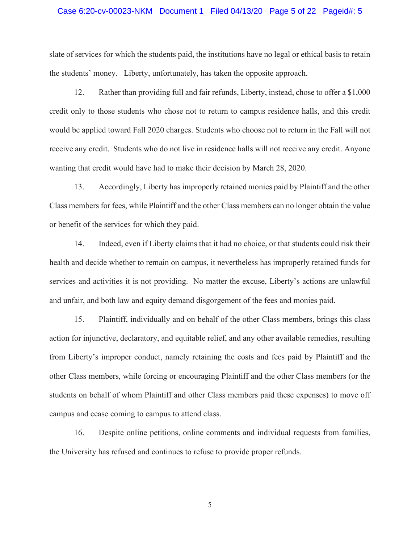### Case 6:20-cv-00023-NKM Document 1 Filed 04/13/20 Page 5 of 22 Pageid#: 5

slate of services for which the students paid, the institutions have no legal or ethical basis to retain the students' money. Liberty, unfortunately, has taken the opposite approach.

 $12.$ Rather than providing full and fair refunds, Liberty, instead, chose to offer a \$1,000 credit only to those students who chose not to return to campus residence halls, and this credit would be applied toward Fall 2020 charges. Students who choose not to return in the Fall will not receive any credit. Students who do not live in residence halls will not receive any credit. Anyone wanting that credit would have had to make their decision by March 28, 2020.

13. Accordingly, Liberty has improperly retained monies paid by Plaintiff and the other Class members for fees, while Plaintiff and the other Class members can no longer obtain the value or benefit of the services for which they paid.

14. Indeed, even if Liberty claims that it had no choice, or that students could risk their health and decide whether to remain on campus, it nevertheless has improperly retained funds for services and activities it is not providing. No matter the excuse, Liberty's actions are unlawful and unfair, and both law and equity demand disgorgement of the fees and monies paid.

15. Plaintiff, individually and on behalf of the other Class members, brings this class action for injunctive, declaratory, and equitable relief, and any other available remedies, resulting from Liberty's improper conduct, namely retaining the costs and fees paid by Plaintiff and the other Class members, while forcing or encouraging Plaintiff and the other Class members (or the students on behalf of whom Plaintiff and other Class members paid these expenses) to move off campus and cease coming to campus to attend class.

Despite online petitions, online comments and individual requests from families, 16. the University has refused and continues to refuse to provide proper refunds.

 $\mathfrak{S}$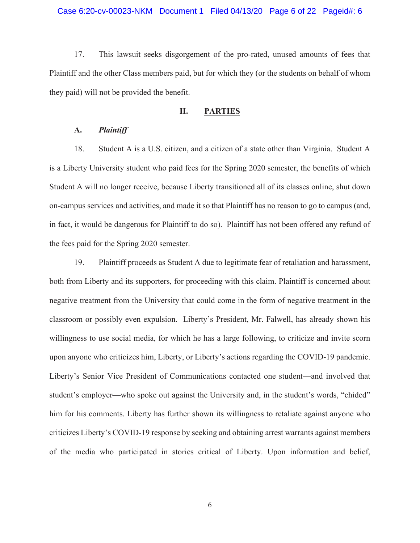17. This lawsuit seeks disgorgement of the pro-rated, unused amounts of fees that Plaintiff and the other Class members paid, but for which they (or the students on behalf of whom they paid) will not be provided the benefit.

#### II. **PARTIES**

#### **Plaintiff**  $\mathbf{A}$ .

18. Student A is a U.S. citizen, and a citizen of a state other than Virginia. Student A is a Liberty University student who paid fees for the Spring 2020 semester, the benefits of which Student A will no longer receive, because Liberty transitioned all of its classes online, shut down on-campus services and activities, and made it so that Plaintiff has no reason to go to campus (and, in fact, it would be dangerous for Plaintiff to do so). Plaintiff has not been offered any refund of the fees paid for the Spring 2020 semester.

19. Plaintiff proceeds as Student A due to legitimate fear of retaliation and harassment, both from Liberty and its supporters, for proceeding with this claim. Plaintiff is concerned about negative treatment from the University that could come in the form of negative treatment in the classroom or possibly even expulsion. Liberty's President, Mr. Falwell, has already shown his willingness to use social media, for which he has a large following, to criticize and invite scorn upon anyone who criticizes him, Liberty, or Liberty's actions regarding the COVID-19 pandemic. Liberty's Senior Vice President of Communications contacted one student—and involved that student's employer—who spoke out against the University and, in the student's words, "chided" him for his comments. Liberty has further shown its willingness to retaliate against anyone who criticizes Liberty's COVID-19 response by seeking and obtaining arrest warrants against members of the media who participated in stories critical of Liberty. Upon information and belief,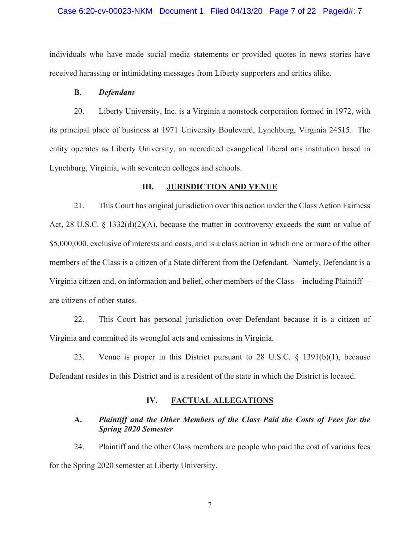### Case 6:20-cv-00023-NKM Document 1 Filed 04/13/20 Page 7 of 22 Pageid#: 7

individuals who have made social media statements or provided quotes in news stories have received harassing or intimidating messages from Liberty supporters and critics alike.

#### **B. Defendant**

 $20<sub>1</sub>$ Liberty University, Inc. is a Virginia a nonstock corporation formed in 1972, with its principal place of business at 1971 University Boulevard, Lynchburg, Virginia 24515. The entity operates as Liberty University, an accredited evangelical liberal arts institution based in Lynchburg, Virginia, with seventeen colleges and schools.

#### Ш. **JURISDICTION AND VENUE**

21. This Court has original jurisdiction over this action under the Class Action Fairness Act, 28 U.S.C. § 1332(d)(2)(A), because the matter in controversy exceeds the sum or value of \$5,000,000, exclusive of interests and costs, and is a class action in which one or more of the other members of the Class is a citizen of a State different from the Defendant. Namely, Defendant is a Virginia citizen and, on information and belief, other members of the Class—including Plaintiff are citizens of other states.

22. This Court has personal jurisdiction over Defendant because it is a citizen of Virginia and committed its wrongful acts and omissions in Virginia.

23. Venue is proper in this District pursuant to 28 U.S.C.  $\S$  1391(b)(1), because Defendant resides in this District and is a resident of the state in which the District is located.

#### IV. **FACTUAL ALLEGATIONS**

#### Plaintiff and the Other Members of the Class Paid the Costs of Fees for the  $\mathbf{A}$ . **Spring 2020 Semester**

24. Plaintiff and the other Class members are people who paid the cost of various fees for the Spring 2020 semester at Liberty University.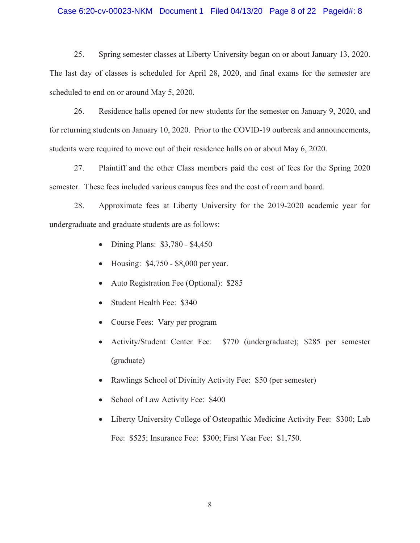### Case 6:20-cv-00023-NKM Document 1 Filed 04/13/20 Page 8 of 22 Pageid#: 8

25. Spring semester classes at Liberty University began on or about January 13, 2020. The last day of classes is scheduled for April 28, 2020, and final exams for the semester are scheduled to end on or around May 5, 2020.

26. Residence halls opened for new students for the semester on January 9, 2020, and for returning students on January 10, 2020. Prior to the COVID-19 outbreak and announcements, students were required to move out of their residence halls on or about May 6, 2020.

Plaintiff and the other Class members paid the cost of fees for the Spring 2020 27. semester. These fees included various campus fees and the cost of room and board.

28. Approximate fees at Liberty University for the 2019-2020 academic year for undergraduate and graduate students are as follows:

- Dining Plans: \$3,780 \$4,450
- Housing: \$4,750 \$8,000 per year.  $\bullet$
- Auto Registration Fee (Optional): \$285
- Student Health Fee: \$340  $\bullet$
- Course Fees: Vary per program  $\bullet$
- Activity/Student Center Fee: \$770 (undergraduate); \$285 per semester (graduate)
- Rawlings School of Divinity Activity Fee: \$50 (per semester)  $\bullet$
- School of Law Activity Fee: \$400
- Liberty University College of Osteopathic Medicine Activity Fee: \$300; Lab  $\bullet$ Fee: \$525; Insurance Fee: \$300; First Year Fee: \$1,750.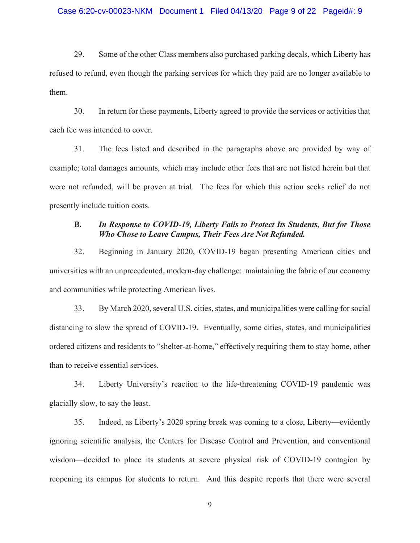29. Some of the other Class members also purchased parking decals, which Liberty has refused to refund, even though the parking services for which they paid are no longer available to them.

30. In return for these payments, Liberty agreed to provide the services or activities that each fee was intended to cover.

31. The fees listed and described in the paragraphs above are provided by way of example; total damages amounts, which may include other fees that are not listed herein but that were not refunded, will be proven at trial. The fees for which this action seeks relief do not presently include tuition costs.

#### **B.** In Response to COVID-19, Liberty Fails to Protect Its Students, But for Those Who Chose to Leave Campus, Their Fees Are Not Refunded.

32. Beginning in January 2020, COVID-19 began presenting American cities and universities with an unprecedented, modern-day challenge: maintaining the fabric of our economy and communities while protecting American lives.

33. By March 2020, several U.S. cities, states, and municipalities were calling for social distancing to slow the spread of COVID-19. Eventually, some cities, states, and municipalities ordered citizens and residents to "shelter-at-home," effectively requiring them to stay home, other than to receive essential services.

34. Liberty University's reaction to the life-threatening COVID-19 pandemic was glacially slow, to say the least.

35. Indeed, as Liberty's 2020 spring break was coming to a close, Liberty—evidently ignoring scientific analysis, the Centers for Disease Control and Prevention, and conventional wisdom—decided to place its students at severe physical risk of COVID-19 contagion by reopening its campus for students to return. And this despite reports that there were several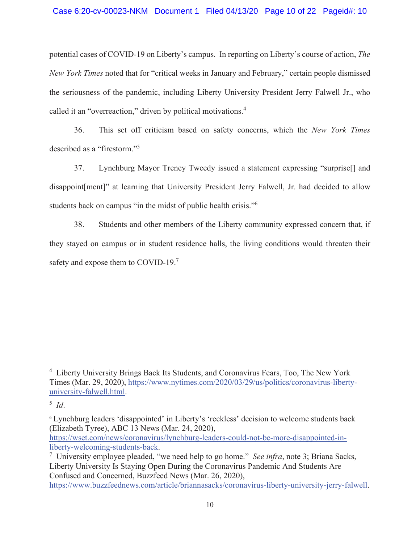potential cases of COVID-19 on Liberty's campus. In reporting on Liberty's course of action, The New York Times noted that for "critical weeks in January and February," certain people dismissed the seriousness of the pandemic, including Liberty University President Jerry Falwell Jr., who called it an "overreaction," driven by political motivations.<sup>4</sup>

This set off criticism based on safety concerns, which the New York Times 36. described as a "firestorm."<sup>5</sup>

Lynchburg Mayor Treney Tweedy issued a statement expressing "surprise<sup>[]</sup> and 37. disappoint [ment]" at learning that University President Jerry Falwell, Jr. had decided to allow students back on campus "in the midst of public health crisis."<sup>6</sup>

38. Students and other members of the Liberty community expressed concern that, if they stayed on campus or in student residence halls, the living conditions would threaten their safety and expose them to COVID-19.<sup>7</sup>

<sup>&</sup>lt;sup>4</sup> Liberty University Brings Back Its Students, and Coronavirus Fears, Too, The New York Times (Mar. 29, 2020), https://www.nytimes.com/2020/03/29/us/politics/coronavirus-libertyuniversity-falwell.html.

 $5$  Id.

<sup>&</sup>lt;sup>6</sup> Lynchburg leaders 'disappointed' in Liberty's 'reckless' decision to welcome students back (Elizabeth Tyree), ABC 13 News (Mar. 24, 2020), https://wset.com/news/coronavirus/lynchburg-leaders-could-not-be-more-disappointed-inliberty-welcoming-students-back.

<sup>&</sup>lt;sup>7</sup> University employee pleaded, "we need help to go home." *See infra*, note 3; Briana Sacks, Liberty University Is Staying Open During the Coronavirus Pandemic And Students Are Confused and Concerned, Buzzfeed News (Mar. 26, 2020),

https://www.buzzfeednews.com/article/briannasacks/coronavirus-liberty-university-jerry-falwell.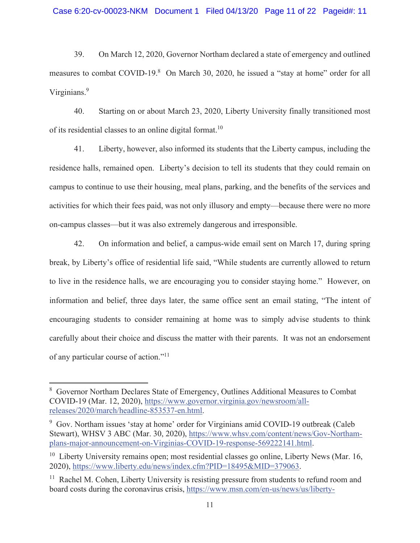39. On March 12, 2020, Governor Northam declared a state of emergency and outlined measures to combat COVID-19.<sup>8</sup> On March 30, 2020, he issued a "stay at home" order for all Virginians.<sup>9</sup>

 $40<sub>1</sub>$ Starting on or about March 23, 2020, Liberty University finally transitioned most of its residential classes to an online digital format.<sup>10</sup>

Liberty, however, also informed its students that the Liberty campus, including the 41. residence halls, remained open. Liberty's decision to tell its students that they could remain on campus to continue to use their housing, meal plans, parking, and the benefits of the services and activities for which their fees paid, was not only illusory and empty—because there were no more on-campus classes—but it was also extremely dangerous and irresponsible.

On information and belief, a campus-wide email sent on March 17, during spring 42. break, by Liberty's office of residential life said, "While students are currently allowed to return to live in the residence halls, we are encouraging you to consider staying home." However, on information and belief, three days later, the same office sent an email stating, "The intent of encouraging students to consider remaining at home was to simply advise students to think carefully about their choice and discuss the matter with their parents. It was not an endorsement of any particular course of action."<sup>11</sup>

<sup>&</sup>lt;sup>8</sup> Governor Northam Declares State of Emergency, Outlines Additional Measures to Combat COVID-19 (Mar. 12, 2020), https://www.governor.virginia.gov/newsroom/allreleases/2020/march/headline-853537-en.html.

<sup>&</sup>lt;sup>9</sup> Gov. Northam issues 'stay at home' order for Virginians amid COVID-19 outbreak (Caleb Stewart), WHSV 3 ABC (Mar. 30, 2020), https://www.whsv.com/content/news/Gov-Northamplans-major-announcement-on-Virginias-COVID-19-response-569222141.html.

 $10$  Liberty University remains open; most residential classes go online, Liberty News (Mar. 16, 2020), https://www.liberty.edu/news/index.cfm?PID=18495&MID=379063.

<sup>&</sup>lt;sup>11</sup> Rachel M. Cohen, Liberty University is resisting pressure from students to refund room and board costs during the coronavirus crisis, https://www.msn.com/en-us/news/us/liberty-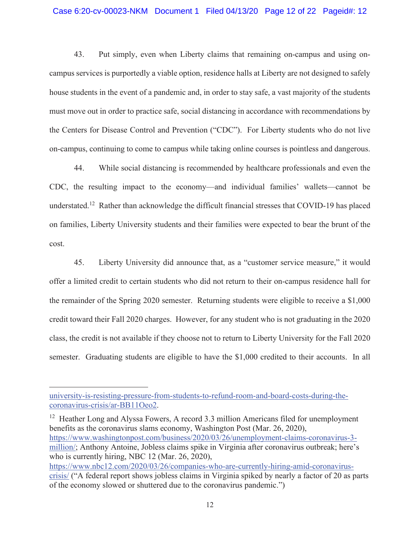### Case 6:20-cv-00023-NKM Document 1 Filed 04/13/20 Page 12 of 22 Pageid#: 12

43. Put simply, even when Liberty claims that remaining on-campus and using oncampus services is purportedly a viable option, residence halls at Liberty are not designed to safely house students in the event of a pandemic and, in order to stay safe, a vast majority of the students must move out in order to practice safe, social distancing in accordance with recommendations by the Centers for Disease Control and Prevention ("CDC"). For Liberty students who do not live on-campus, continuing to come to campus while taking online courses is pointless and dangerous.

While social distancing is recommended by healthcare professionals and even the 44. CDC, the resulting impact to the economy—and individual families' wallets—cannot be understated.<sup>12</sup> Rather than acknowledge the difficult financial stresses that COVID-19 has placed on families, Liberty University students and their families were expected to bear the brunt of the cost.

45. Liberty University did announce that, as a "customer service measure," it would offer a limited credit to certain students who did not return to their on-campus residence hall for the remainder of the Spring 2020 semester. Returning students were eligible to receive a \$1,000 credit toward their Fall 2020 charges. However, for any student who is not graduating in the 2020 class, the credit is not available if they choose not to return to Liberty University for the Fall 2020 semester. Graduating students are eligible to have the \$1,000 credited to their accounts. In all

 $12$  Heather Long and Alyssa Fowers, A record 3.3 million Americans filed for unemployment benefits as the coronavirus slams economy, Washington Post (Mar. 26, 2020), https://www.washingtonpost.com/business/2020/03/26/unemployment-claims-coronavirus-3million/; Anthony Antoine, Jobless claims spike in Virginia after coronavirus outbreak; here's who is currently hiring, NBC 12 (Mar. 26, 2020), https://www.nbc12.com/2020/03/26/companies-who-are-currently-hiring-amid-coronavirus-

university-is-resisting-pressure-from-students-to-refund-room-and-board-costs-during-thecoronavirus-crisis/ar-BB11Oeo2.

crisis/ ("A federal report shows jobless claims in Virginia spiked by nearly a factor of 20 as parts of the economy slowed or shuttered due to the coronavirus pandemic."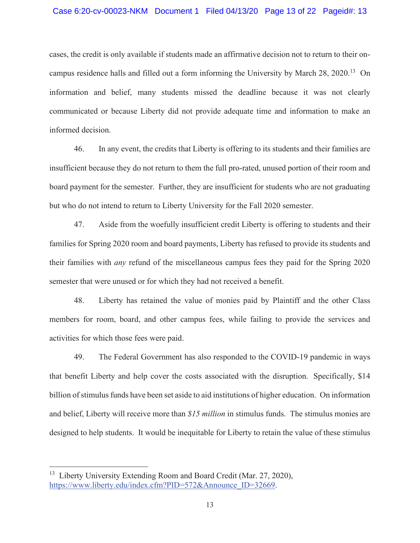### Case 6:20-cv-00023-NKM Document 1 Filed 04/13/20 Page 13 of 22 Pageid#: 13

cases, the credit is only available if students made an affirmative decision not to return to their oncampus residence halls and filled out a form informing the University by March 28, 2020.<sup>13</sup> On information and belief, many students missed the deadline because it was not clearly communicated or because Liberty did not provide adequate time and information to make an informed decision.

46. In any event, the credits that Liberty is offering to its students and their families are insufficient because they do not return to them the full pro-rated, unused portion of their room and board payment for the semester. Further, they are insufficient for students who are not graduating but who do not intend to return to Liberty University for the Fall 2020 semester.

47. Aside from the woefully insufficient credit Liberty is offering to students and their families for Spring 2020 room and board payments, Liberty has refused to provide its students and their families with *any* refund of the miscellaneous campus fees they paid for the Spring 2020 semester that were unused or for which they had not received a benefit.

48. Liberty has retained the value of monies paid by Plaintiff and the other Class members for room, board, and other campus fees, while failing to provide the services and activities for which those fees were paid.

49. The Federal Government has also responded to the COVID-19 pandemic in ways that benefit Liberty and help cover the costs associated with the disruption. Specifically, \$14 billion of stimulus funds have been set aside to aid institutions of higher education. On information and belief, Liberty will receive more than \$15 million in stimulus funds. The stimulus monies are designed to help students. It would be inequitable for Liberty to retain the value of these stimulus

<sup>&</sup>lt;sup>13</sup> Liberty University Extending Room and Board Credit (Mar. 27, 2020), https://www.liberty.edu/index.cfm?PID=572&Announce ID=32669.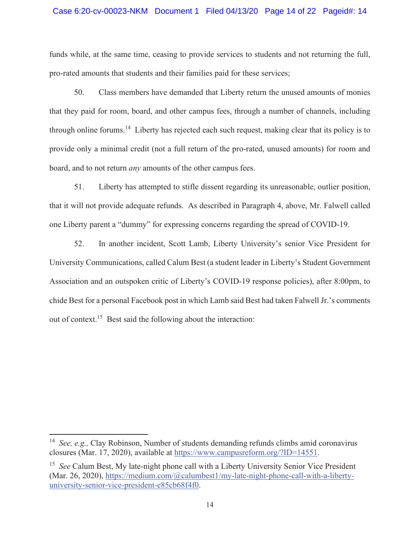### Case 6:20-cv-00023-NKM Document 1 Filed 04/13/20 Page 14 of 22 Pageid#: 14

funds while, at the same time, ceasing to provide services to students and not returning the full, pro-rated amounts that students and their families paid for these services;

50. Class members have demanded that Liberty return the unused amounts of monies that they paid for room, board, and other campus fees, through a number of channels, including through online forums.<sup>14</sup> Liberty has rejected each such request, making clear that its policy is to provide only a minimal credit (not a full return of the pro-rated, unused amounts) for room and board, and to not return *any* amounts of the other campus fees.

 $51.$ Liberty has attempted to stifle dissent regarding its unreasonable, outlier position, that it will not provide adequate refunds. As described in Paragraph 4, above, Mr. Falwell called one Liberty parent a "dummy" for expressing concerns regarding the spread of COVID-19.

In another incident, Scott Lamb, Liberty University's senior Vice President for 52. University Communications, called Calum Best (a student leader in Liberty's Student Government Association and an outspoken critic of Liberty's COVID-19 response policies), after 8:00pm, to chide Best for a personal Facebook post in which Lamb said Best had taken Falwell Jr.'s comments out of context.<sup>15</sup> Best said the following about the interaction:

<sup>&</sup>lt;sup>14</sup> See, e.g., Clay Robinson, Number of students demanding refunds climbs amid coronavirus closures (Mar. 17, 2020), available at https://www.campusreform.org/?ID=14551.

<sup>&</sup>lt;sup>15</sup> See Calum Best, My late-night phone call with a Liberty University Senior Vice President (Mar. 26, 2020), https://medium.com/@calumbest1/my-late-night-phone-call-with-a-libertyuniversity-senior-vice-president-e85cb68f4f0.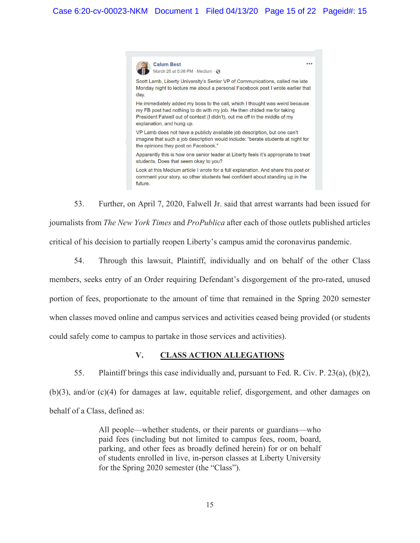

53. Further, on April 7, 2020, Falwell Jr. said that arrest warrants had been issued for journalists from *The New York Times* and *ProPublica* after each of those outlets published articles critical of his decision to partially reopen Liberty's campus amid the coronavirus pandemic.

54. Through this lawsuit, Plaintiff, individually and on behalf of the other Class members, seeks entry of an Order requiring Defendant's disgorgement of the pro-rated, unused portion of fees, proportionate to the amount of time that remained in the Spring 2020 semester when classes moved online and campus services and activities ceased being provided (or students could safely come to campus to partake in those services and activities).

#### V. **CLASS ACTION ALLEGATIONS**

55. Plaintiff brings this case individually and, pursuant to Fed. R. Civ. P. 23(a), (b)(2),  $(b)(3)$ , and/or  $(c)(4)$  for damages at law, equitable relief, disgorgement, and other damages on behalf of a Class, defined as:

> All people—whether students, or their parents or guardians—who paid fees (including but not limited to campus fees, room, board, parking, and other fees as broadly defined herein) for or on behalf of students enrolled in live, in-person classes at Liberty University for the Spring 2020 semester (the "Class").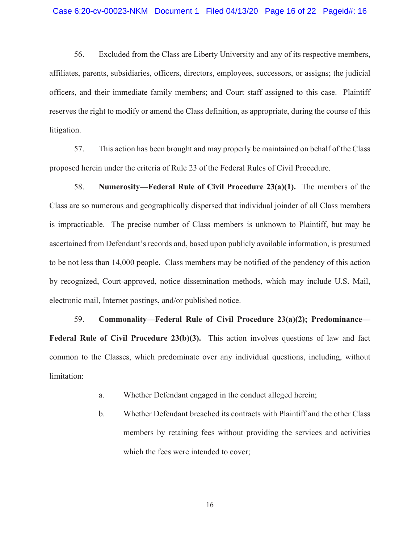### Case 6:20-cv-00023-NKM Document 1 Filed 04/13/20 Page 16 of 22 Pageid#: 16

56. Excluded from the Class are Liberty University and any of its respective members, affiliates, parents, subsidiaries, officers, directors, employees, successors, or assigns; the judicial officers, and their immediate family members; and Court staff assigned to this case. Plaintiff reserves the right to modify or amend the Class definition, as appropriate, during the course of this litigation.

57. This action has been brought and may properly be maintained on behalf of the Class proposed herein under the criteria of Rule 23 of the Federal Rules of Civil Procedure.

58. Numerosity—Federal Rule of Civil Procedure  $23(a)(1)$ . The members of the Class are so numerous and geographically dispersed that individual joinder of all Class members is impracticable. The precise number of Class members is unknown to Plaintiff, but may be ascertained from Defendant's records and, based upon publicly available information, is presumed to be not less than 14,000 people. Class members may be notified of the pendency of this action by recognized, Court-approved, notice dissemination methods, which may include U.S. Mail, electronic mail, Internet postings, and/or published notice.

59. Commonality-Federal Rule of Civil Procedure 23(a)(2); Predominance-Federal Rule of Civil Procedure 23(b)(3). This action involves questions of law and fact common to the Classes, which predominate over any individual questions, including, without limitation:

- Whether Defendant engaged in the conduct alleged herein;  $\mathbf{a}$ .
- $\mathbf{b}$ . Whether Defendant breached its contracts with Plaintiff and the other Class members by retaining fees without providing the services and activities which the fees were intended to cover;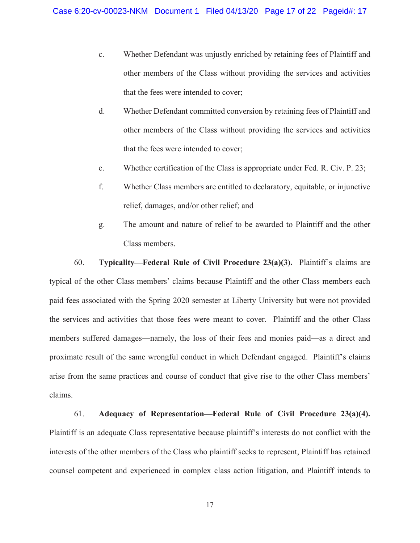- Whether Defendant was unjustly enriched by retaining fees of Plaintiff and  $\mathbf{c}$ . other members of the Class without providing the services and activities that the fees were intended to cover;
- $d_{\cdot}$ Whether Defendant committed conversion by retaining fees of Plaintiff and other members of the Class without providing the services and activities that the fees were intended to cover;
- Whether certification of the Class is appropriate under Fed. R. Civ. P. 23; e.
- Whether Class members are entitled to declaratory, equitable, or injunctive  $f_{\cdot}$ relief, damages, and/or other relief; and
- The amount and nature of relief to be awarded to Plaintiff and the other  $g.$ Class members.

60. **Typicality—Federal Rule of Civil Procedure 23(a)(3).** Plaintiff's claims are typical of the other Class members' claims because Plaintiff and the other Class members each paid fees associated with the Spring 2020 semester at Liberty University but were not provided the services and activities that those fees were meant to cover. Plaintiff and the other Class members suffered damages—namely, the loss of their fees and monies paid—as a direct and proximate result of the same wrongful conduct in which Defendant engaged. Plaintiff's claims arise from the same practices and course of conduct that give rise to the other Class members' claims.

61. Adequacy of Representation—Federal Rule of Civil Procedure 23(a)(4). Plaintiff is an adequate Class representative because plaintiff's interests do not conflict with the interests of the other members of the Class who plaintiff seeks to represent, Plaintiff has retained counsel competent and experienced in complex class action litigation, and Plaintiff intends to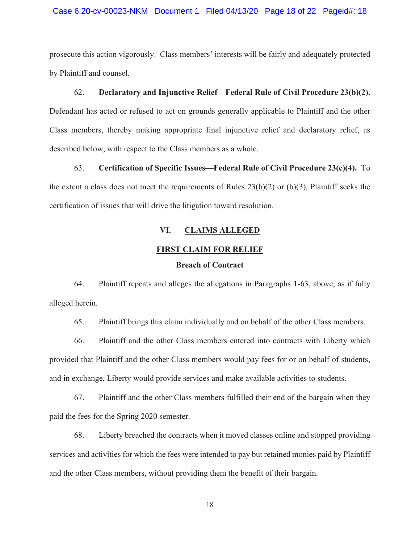### Case 6:20-cv-00023-NKM Document 1 Filed 04/13/20 Page 18 of 22 Pageid#: 18

prosecute this action vigorously. Class members' interests will be fairly and adequately protected by Plaintiff and counsel.

#### 62. Declaratory and Injunctive Relief-Federal Rule of Civil Procedure 23(b)(2).

Defendant has acted or refused to act on grounds generally applicable to Plaintiff and the other Class members, thereby making appropriate final injunctive relief and declaratory relief, as described below, with respect to the Class members as a whole.

63. Certification of Specific Issues—Federal Rule of Civil Procedure 23(c)(4). To the extent a class does not meet the requirements of Rules  $23(b)(2)$  or (b)(3), Plaintiff seeks the certification of issues that will drive the litigation toward resolution.

#### VI. **CLAIMS ALLEGED**

# **FIRST CLAIM FOR RELIEF**

# **Breach of Contract**

64. Plaintiff repeats and alleges the allegations in Paragraphs 1-63, above, as if fully alleged herein.

65. Plaintiff brings this claim individually and on behalf of the other Class members.

Plaintiff and the other Class members entered into contracts with Liberty which 66. provided that Plaintiff and the other Class members would pay fees for or on behalf of students, and in exchange, Liberty would provide services and make available activities to students.

67. Plaintiff and the other Class members fulfilled their end of the bargain when they paid the fees for the Spring 2020 semester.

68. Liberty breached the contracts when it moved classes online and stopped providing services and activities for which the fees were intended to pay but retained monies paid by Plaintiff and the other Class members, without providing them the benefit of their bargain.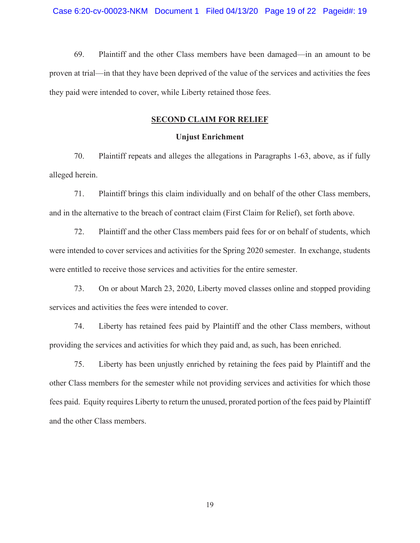69. Plaintiff and the other Class members have been damaged—in an amount to be proven at trial—in that they have been deprived of the value of the services and activities the fees they paid were intended to cover, while Liberty retained those fees.

## **SECOND CLAIM FOR RELIEF**

# **Unjust Enrichment**

70. Plaintiff repeats and alleges the allegations in Paragraphs 1-63, above, as if fully alleged herein.

71. Plaintiff brings this claim individually and on behalf of the other Class members, and in the alternative to the breach of contract claim (First Claim for Relief), set forth above.

72. Plaintiff and the other Class members paid fees for or on behalf of students, which were intended to cover services and activities for the Spring 2020 semester. In exchange, students were entitled to receive those services and activities for the entire semester.

73. On or about March 23, 2020, Liberty moved classes online and stopped providing services and activities the fees were intended to cover.

Liberty has retained fees paid by Plaintiff and the other Class members, without 74. providing the services and activities for which they paid and, as such, has been enriched.

75. Liberty has been unjustly enriched by retaining the fees paid by Plaintiff and the other Class members for the semester while not providing services and activities for which those fees paid. Equity requires Liberty to return the unused, prorated portion of the fees paid by Plaintiff and the other Class members.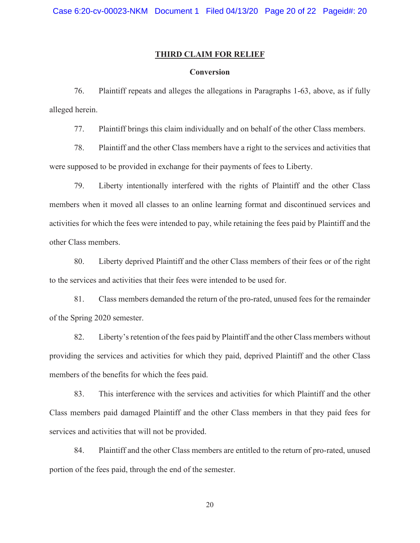## **THIRD CLAIM FOR RELIEF**

# **Conversion**

76. Plaintiff repeats and alleges the allegations in Paragraphs 1-63, above, as if fully alleged herein.

Plaintiff brings this claim individually and on behalf of the other Class members. 77.

78. Plaintiff and the other Class members have a right to the services and activities that were supposed to be provided in exchange for their payments of fees to Liberty.

79. Liberty intentionally interfered with the rights of Plaintiff and the other Class members when it moved all classes to an online learning format and discontinued services and activities for which the fees were intended to pay, while retaining the fees paid by Plaintiff and the other Class members.

80. Liberty deprived Plaintiff and the other Class members of their fees or of the right to the services and activities that their fees were intended to be used for.

81. Class members demanded the return of the pro-rated, unused fees for the remainder of the Spring 2020 semester.

82. Liberty's retention of the fees paid by Plaintiff and the other Class members without providing the services and activities for which they paid, deprived Plaintiff and the other Class members of the benefits for which the fees paid.

83. This interference with the services and activities for which Plaintiff and the other Class members paid damaged Plaintiff and the other Class members in that they paid fees for services and activities that will not be provided.

84. Plaintiff and the other Class members are entitled to the return of pro-rated, unused portion of the fees paid, through the end of the semester.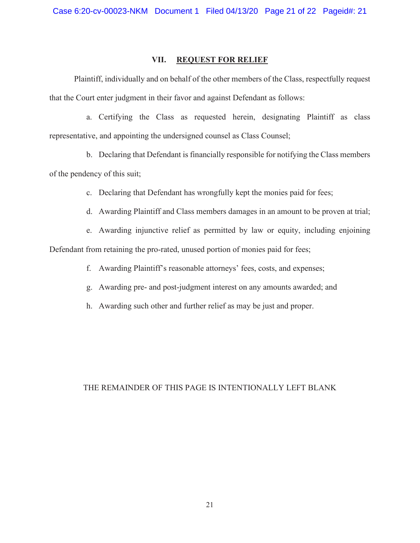#### VII. **REQUEST FOR RELIEF**

Plaintiff, individually and on behalf of the other members of the Class, respectfully request that the Court enter judgment in their favor and against Defendant as follows:

a. Certifying the Class as requested herein, designating Plaintiff as class representative, and appointing the undersigned counsel as Class Counsel;

b. Declaring that Defendant is financially responsible for notifying the Class members of the pendency of this suit;

c. Declaring that Defendant has wrongfully kept the monies paid for fees;

d. Awarding Plaintiff and Class members damages in an amount to be proven at trial;

e. Awarding injunctive relief as permitted by law or equity, including enjoining Defendant from retaining the pro-rated, unused portion of monies paid for fees;

f. Awarding Plaintiff's reasonable attorneys' fees, costs, and expenses;

g. Awarding pre- and post-judgment interest on any amounts awarded; and

h. Awarding such other and further relief as may be just and proper.

# THE REMAINDER OF THIS PAGE IS INTENTIONALLY LEFT BLANK